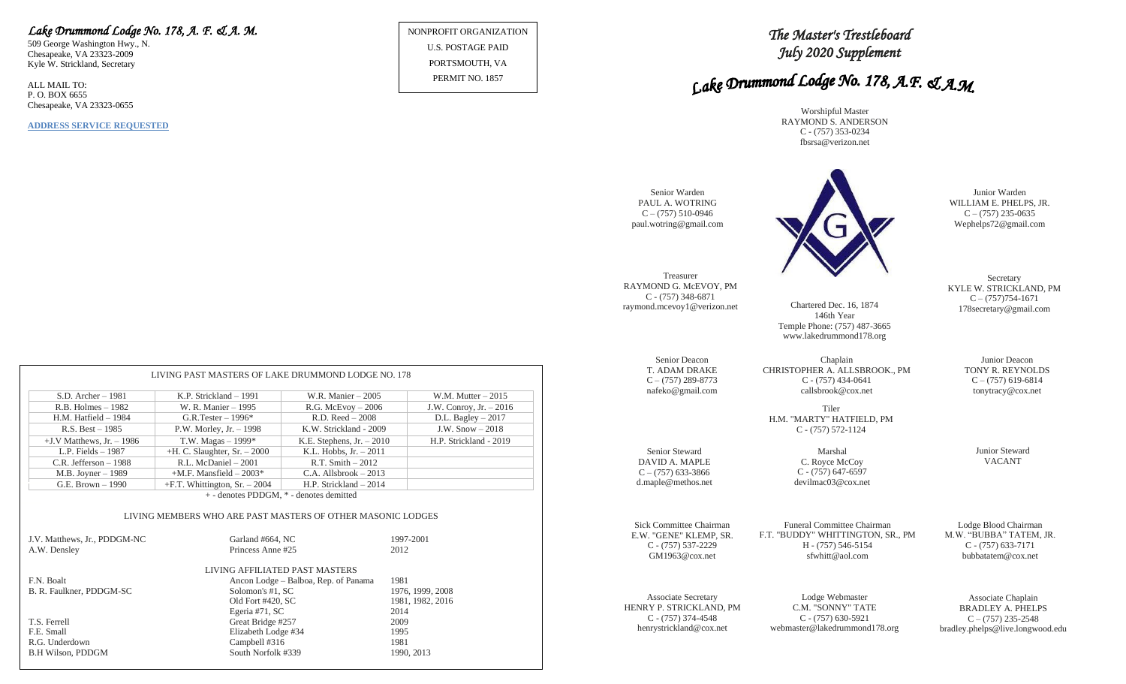## *Lake Drummond Lodge No. 178, A. F. & A. M.*

509 George Washington Hwy., N. Chesapeake, VA 23323-2009 Kyle W. Strickland, Secretary

ALL MAIL TO: P. O. BOX 6655 Chesapeake, VA 23323-0655

**ADDRESS SERVICE REQUESTED**

NONPROFIT ORGANIZATION U.S. POSTAGE PAID PORTSMOUTH, VA

PERMIT NO. 1857

*The Master's Trestleboard July 2020 Supplement* 

# Lake Drummond Lodge No. 178, A.F. & A.M.

Worshipful Master RAYMOND S. ANDERSON C - (757) 353-0234 fbsrsa@verizon.net



Chartered Dec. 16, 1874 146th Year Temple Phone: (757) 487-3665 www.lakedrummond178.org

Chaplain CHRISTOPHER A. ALLSBROOK., PM C - (757) 434-0641 callsbrook@cox.net

Funeral Committee Chairman H - (757) 546-5154

Lodge Blood Chairman M.W. "BUBBA" TATEM, JR. C - (757) 633-7171 bubbatatem@cox.net

Junior Warden WILLIAM E. PHELPS, JR.  $C - (757)$  235-0635 Wephelps72@gmail.com

**Secretary** KYLE W. STRICKLAND, PM  $C - (757)754-1671$ 178secretary@gmail.com

Junior Deacon

 $C - (757)$  619-6814 tonytracy@cox.net

Junior Steward VACANT

Associate Secretary HENRY P. STRICKLAND, PM C - (757) 374-4548 henrystrickland@cox.net

Senior Deacon T. ADAM DRAKE  $C - (757)$  289-8773 nafeko@gmail.com

Senior Steward DAVID A. MAPLE  $C - (757)$  633-3866 d.maple@methos.net

> Lodge Webmaster C.M. "SONNY" TATE C - (757) 630-5921 webmaster@lakedrummond178.org

Associate Chaplain BRADLEY A. PHELPS  $C - (757)$  235-2548 bradley.phelps@live.longwood.edu

|                              | LIVING PAST MASTERS OF LAKE DRUMMOND LODGE NO. 178 |                             |                          |  |
|------------------------------|----------------------------------------------------|-----------------------------|--------------------------|--|
| $S.D.$ Archer $-1981$        | K.P. Strickland $-1991$                            | W.R. Manier $-2005$         | W.M. Mutter $-2015$      |  |
| $R.B.$ Holmes $-1982$        | W. R. Manier – 1995                                | $R.G.$ McEvoy $-2006$       | J.W. Conroy, Jr. $-2016$ |  |
| $H.M.$ Hatfield $-1984$      | G.R.Tester $-1996*$                                | $R.D. Reed - 2008$          | D.L. Bagley $-2017$      |  |
| $R.S. Best - 1985$           | P.W. Morley, Jr. $-1998$                           | K.W. Strickland - 2009      | J.W. $Show-2018$         |  |
| $+J.V$ Matthews, Jr. $-1986$ | T.W. Magas $-1999*$                                | K.E. Stephens, $Jr. - 2010$ | H.P. Strickland - 2019   |  |
| L.P. Fields $-1987$          | $+H$ . C. Slaughter, Sr. $-2000$                   | K.L. Hobbs, $Jr. - 2011$    |                          |  |
| C.R. Jefferson $-1988$       | R.L. McDaniel - 2001                               | $R.T. Smith - 2012$         |                          |  |
| $M.B.$ Joyner $-1989$        | $+M.F.$ Mansfield $-2003*$                         | $C.A.$ Allsbrook $-2013$    |                          |  |
| G.E. Brown $-1990$           | $+F.T.$ Whittington, Sr. $-2004$                   | H.P. Strickland $-2014$     |                          |  |
| $\blacksquare$               |                                                    |                             |                          |  |

+ - denotes PDDGM, \* - denotes demitted

#### LIVING MEMBERS WHO ARE PAST MASTERS OF OTHER MASONIC LODGES

| J.V. Matthews, Jr., PDDGM-NC<br>A.W. Densley | Garland #664, NC<br>Princess Anne #25 | 1997-2001<br>2012 |
|----------------------------------------------|---------------------------------------|-------------------|
|                                              | LIVING AFFILIATED PAST MASTERS        |                   |
| F.N. Boalt                                   | Ancon Lodge – Balboa, Rep. of Panama  | 1981              |
| B. R. Faulkner, PDDGM-SC                     | Solomon's #1, SC                      | 1976, 1999, 2008  |
|                                              | Old Fort #420, SC                     | 1981, 1982, 2016  |
|                                              | Egeria #71, SC                        | 2014              |
| T.S. Ferrell                                 | Great Bridge #257                     | 2009              |
| F.E. Small                                   | Elizabeth Lodge #34                   | 1995              |
| R.G. Underdown                               | Campbell #316                         | 1981              |
| <b>B.H Wilson, PDDGM</b>                     | South Norfolk #339                    | 1990, 2013        |

Tiler H.M. "MARTY" HATFIELD, PM C - (757) 572-1124

Marshal

C. Royce McCoy C - (757) 647-6597 devilmac03@cox.net

Sick Committee Chairman E.W. "GENE" KLEMP, SR. C - (757) 537-2229 GM1963@cox.net

F.T. "BUDDY" WHITTINGTON, SR., PM sfwhitt@aol.com